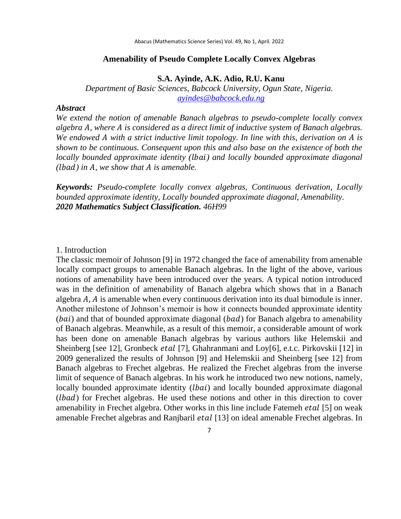## **Amenability of Pseudo Complete Locally Convex Algebras**

#### **S.A. Ayinde, A.K. Adio, R.U. Kanu**

*Department of Basic Sciences, Babcock University, Ogun State, Nigeria. [ayindes@babcock.edu.ng](mailto:ayindes@babcock.edu.ng)*

### *Abstract*

*We extend the notion of amenable Banach algebras to pseudo-complete locally convex algebra , where is considered as a direct limit of inductive system of Banach algebras. We endowed A with a strict inductive limit topology. In line with this, derivation on A is shown to be continuous. Consequent upon this and also base on the existence of both the locally bounded approximate identity () and locally bounded approximate diagonal () in , we show that is amenable.*

*Keywords: Pseudo-complete locally convex algebras, Continuous derivation, Locally bounded approximate identity, Locally bounded approximate diagonal, Amenability. 2020 Mathematics Subject Classification. 46H99*

## 1. Introduction

The classic memoir of Johnson [9] in 1972 changed the face of amenability from amenable locally compact groups to amenable Banach algebras. In the light of the above, various notions of amenability have been introduced over the years. A typical notion introduced was in the definition of amenability of Banach algebra which shows that in a Banach algebra  $A$ ,  $A$  is amenable when every continuous derivation into its dual bimodule is inner. Another milestone of Johnson's memoir is how it connects bounded approximate identity  $(bai)$  and that of bounded approximate diagonal  $(bad)$  for Banach algebra to amenability of Banach algebras. Meanwhile, as a result of this memoir, a considerable amount of work has been done on amenable Banach algebras by various authors like Helemskii and Sheinberg [see 12], Gronbeck *etal* [7], Ghahranmani and Loy[6], e.t.c. Pirkovskii [12] in 2009 generalized the results of Johnson [9] and Helemskii and Sheinberg [see 12] from Banach algebras to Frechet algebras. He realized the Frechet algebras from the inverse limit of sequence of Banach algebras. In his work he introduced two new notions, namely, locally bounded approximate identity (*lbai*) and locally bounded approximate diagonal  $(lbad)$  for Frechet algebras. He used these notions and other in this direction to cover amenability in Frechet algebra. Other works in this line include Fatemeh *etal* [5] on weak amenable Frechet algebras and Ranjbaril *etal* [13] on ideal amenable Frechet algebras. In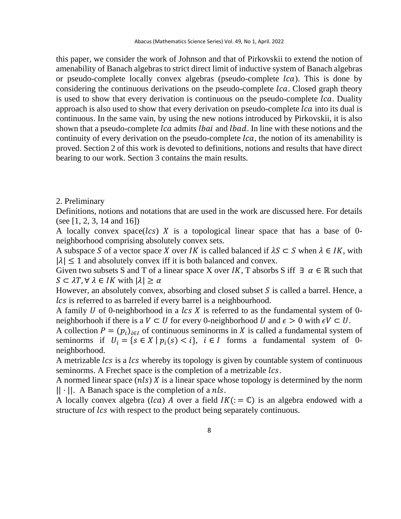this paper, we consider the work of Johnson and that of Pirkovskii to extend the notion of amenability of Banach algebras to strict direct limit of inductive system of Banach algebras or pseudo-complete locally convex algebras (pseudo-complete *lca*). This is done by considering the continuous derivations on the pseudo-complete *lca*. Closed graph theory is used to show that every derivation is continuous on the pseudo-complete *lca*. Duality approach is also used to show that every derivation on pseudo-complete *lca* into its dual is continuous. In the same vain, by using the new notions introduced by Pirkovskii, it is also shown that a pseudo-complete *lca* admits *lbai* and *lbad*. In line with these notions and the continuity of every derivation on the pseudo-complete *lca*, the notion of its amenability is proved. Section 2 of this work is devoted to definitions, notions and results that have direct bearing to our work. Section 3 contains the main results.

### 2. Preliminary

Definitions, notions and notations that are used in the work are discussed here. For details (see [1, 2, 3, 14 and 16])

A locally convex space( $lcs$ ) X is a topological linear space that has a base of 0neighborhood comprising absolutely convex sets.

A subspace S of a vector space X over IK is called balanced if  $\lambda S \subset S$  when  $\lambda \in I K$ , with  $|\lambda| \leq 1$  and absolutely convex iff it is both balanced and convex.

Given two subsets S and T of a linear space X over *IK*, T absorbs S iff  $\exists \alpha \in \mathbb{R}$  such that  $S \subset \lambda T$ ,  $\forall \lambda \in IK$  with  $|\lambda| \geq \alpha$ 

However, an absolutely convex, absorbing and closed subset  $S$  is called a barrel. Hence, a lcs is referred to as barreled if every barrel is a neighbourhood.

A family  $U$  of 0-neighborhood in a  $lcs X$  is referred to as the fundamental system of 0neighborhooh if there is a  $V \subset U$  for every 0-neighborhood U and  $\epsilon > 0$  with  $\epsilon V \subset U$ .

A collection  $P = (p_i)_{i \in I}$  of continuous seminorms in X is called a fundamental system of seminorms if  $U_i = \{ s \in X \mid p_i(s) < i \}, \quad i \in I$  forms a fundamental system of 0neighborhood.

A metrizable *lcs* is a *lcs* whereby its topology is given by countable system of continuous seminorms. A Frechet space is the completion of a metrizable  $lcs$ .

A normed linear space  $(nls)$  X is a linear space whose topology is determined by the norm  $|| \cdot ||$ . A Banach space is the completion of a nls.

A locally convex algebra (*lca*) A over a field  $IK (= \mathbb{C})$  is an algebra endowed with a structure of lcs with respect to the product being separately continuous.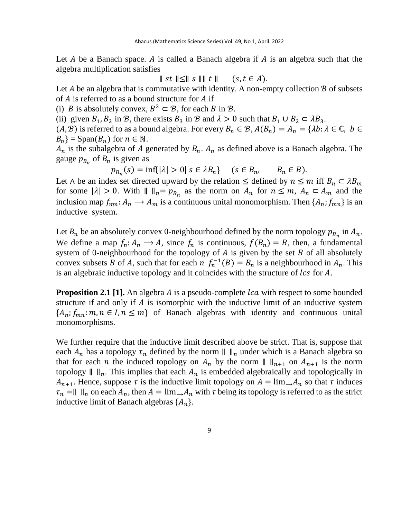Let  $A$  be a Banach space.  $A$  is called a Banach algebra if  $A$  is an algebra such that the algebra multiplication satisfies

 $||$  st  $|| \le ||s|| ||$  t  $||$  (s,  $t \in A$ ).

Let  $A$  be an algebra that is commutative with identity. A non-empty collection  $B$  of subsets of  $A$  is referred to as a bound structure for  $A$  if

(i) *B* is absolutely convex,  $B^2 \subset \mathcal{B}$ , for each *B* in *B*.

(ii) given  $B_1$ ,  $B_2$  in  $B$ , there exists  $B_3$  in  $B$  and  $\lambda > 0$  such that  $B_1 \cup B_2 \subset \lambda B_3$ .

 $(A, B)$  is referred to as a bound algebra. For every  $B_n \in \mathcal{B}$ ,  $A(B_n) = A_n = \{\lambda b : \lambda \in \mathbb{C}, b \in \mathbb{C}\}$  $B_n$ } = Span( $B_n$ ) for  $n \in \mathbb{N}$ .

 $A_n$  is the subalgebra of A generated by  $B_n$ .  $A_n$  as defined above is a Banach algebra. The gauge  $p_{B_n}$  of  $B_n$  is given as

 $p_{B_n}(s) = \inf\{|\lambda| > 0 | s \in \lambda B_n\}$   $(s \in B_n, B_n \in B).$ 

Let  $\wedge$  be an index set directed upward by the relation  $\leq$  defined by  $n \leq m$  iff  $B_n \subset \lambda B_m$ for some  $|\lambda| > 0$ . With  $|| \cdot ||_n = p_{B_n}$  as the norm on  $A_n$  for  $n \leq m$ ,  $A_n \subset A_m$  and the inclusion map  $f_{mn}: A_n \to A_m$  is a continuous unital monomorphism. Then  $\{A_n: f_{mn}\}$  is an inductive system.

Let  $B_n$  be an absolutely convex 0-neighbourhood defined by the norm topology  $p_{B_n}$  in  $A_n$ . We define a map  $f_n: A_n \to A$ , since  $f_n$  is continuous,  $f(B_n) = B$ , then, a fundamental system of 0-neighbourhood for the topology of  $A$  is given by the set  $B$  of all absolutely convex subsets B of A, such that for each  $n f_n^{-1}(B) = B_n$  is a neighbourhood in  $A_n$ . This is an algebraic inductive topology and it coincides with the structure of lcs for A.

**Proposition 2.1 [1].** An algebra A is a pseudo-complete *lca* with respect to some bounded structure if and only if  $A$  is isomorphic with the inductive limit of an inductive system  ${A_n; f_{mn}: m, n \in I, n \leq m}$  of Banach algebras with identity and continuous unital monomorphisms.

We further require that the inductive limit described above be strict. That is, suppose that each  $A_n$  has a topology  $\tau_n$  defined by the norm  $\|\ \|_n$  under which is a Banach algebra so that for each *n* the induced topology on  $A_n$  by the norm  $\| \cdot \|_{n+1}$  on  $A_{n+1}$  is the norm topology  $\| \cdot \|_n$ . This implies that each  $A_n$  is embedded algebraically and topologically in  $A_{n+1}$ . Hence, suppose  $\tau$  is the inductive limit topology on  $A = \lim_{n \to \infty} A_n$  so that  $\tau$  induces  $\tau_n = || \cdot ||_n$  on each  $A_n$ , then  $A = \lim_{n \to \infty} A_n$  with  $\tau$  being its topology is referred to as the strict inductive limit of Banach algebras  $\{A_n\}$ .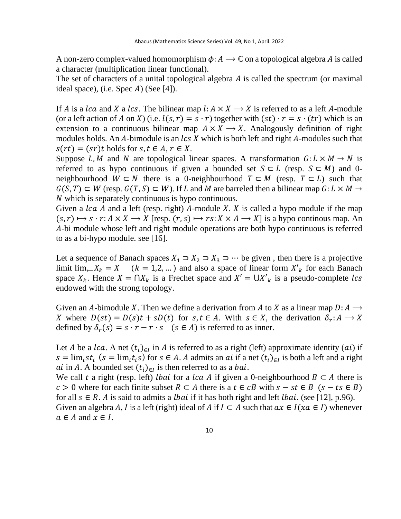A non-zero complex-valued homomorphism  $\phi: A \to \mathbb{C}$  on a topological algebra A is called a character (multiplication linear functional).

The set of characters of a unital topological algebra  $A$  is called the spectrum (or maximal ideal space), (i.e. Spec  $A$ ) (See [4]).

If A is a lca and X a lcs. The bilinear map  $l: A \times X \longrightarrow X$  is referred to as a left A-module (or a left action of A on X) (i.e.  $l(s, r) = s \cdot r$ ) together with  $(st) \cdot r = s \cdot (tr)$  which is an extension to a continuous bilinear map  $A \times X \longrightarrow X$ . Analogously definition of right modules holds. An A-bimodule is an  $\text{lcs } X$  which is both left and right A-modules such that  $s(rt) = (sr)t$  holds for  $s, t \in A, r \in X$ .

Suppose L, M and N are topological linear spaces. A transformation  $G: L \times M \rightarrow N$  is referred to as hypo continuous if given a bounded set  $S \subset L$  (resp.  $S \subset M$ ) and 0neighbourhood  $W \subset N$  there is a 0-neighbourhood  $T \subset M$  (resp.  $T \subset L$ ) such that  $G(S, T) \subset W$  (resp.  $G(T, S) \subset W$ ). If L and M are barreled then a bilinear map  $G: L \times M \to$ N which is separately continuous is hypo continuous.

Given a  $lca$  A and a left (resp. right) A-module X. X is called a hypo module if the map  $(s, r) \mapsto s \cdot r : A \times X \longrightarrow X$  [resp.  $(r, s) \mapsto rs : X \times A \longrightarrow X$ ] is a hypo continous map. An -bi module whose left and right module operations are both hypo continuous is referred to as a bi-hypo module. see [16].

Let a sequence of Banach spaces  $X_1$  ⊃  $X_2$  ⊃  $X_3$  ⇒ … be given, then there is a projective limit  $\lim_{k \to \infty} X_k = X$  ( $k = 1, 2, ...$ ) and also a space of linear form  $X'_k$  for each Banach space  $X_k$ . Hence  $X = \bigcap X_k$  is a Frechet space and  $X' = \bigcup X'_k$  is a pseudo-complete lcs endowed with the strong topology.

Given an A-bimodule X. Then we define a derivation from A to X as a linear map  $D: A \longrightarrow$ X where  $D(st) = D(s)t + sD(t)$  for  $s, t \in A$ . With  $s \in X$ , the derivation  $\delta_r: A \to X$ defined by  $\delta_r(s) = s \cdot r - r \cdot s$  ( $s \in A$ ) is referred to as inner.

Let *A* be a *lca*. A net  $(t_i)_{i \in I}$  in *A* is referred to as a right (left) approximate identity (*ai*) if  $s = \lim_i st_i$  ( $s = \lim_i t_i s$ ) for  $s \in A$ . A admits an *ai* if a net  $(t_i)_{i \in I}$  is both a left and a right *ai* in A. A bounded set  $(t_i)_{i \in I}$  is then referred to as a *bai*.

We call t a right (resp. left) *lbai* for a *lca* A if given a 0-neighbourhood  $B \subset A$  there is  $c > 0$  where for each finite subset  $R \subset A$  there is a  $t \in cB$  with  $s - st \in B$   $(s - ts \in B)$ for all  $s \in R$ . A is said to admits a *lbai* if it has both right and left *lbai*. (see [12], p.96). Given an algebra A, I is a left (right) ideal of A if  $I \subset A$  such that  $ax \in I(xa \in I)$  whenever

 $a \in A$  and  $x \in I$ .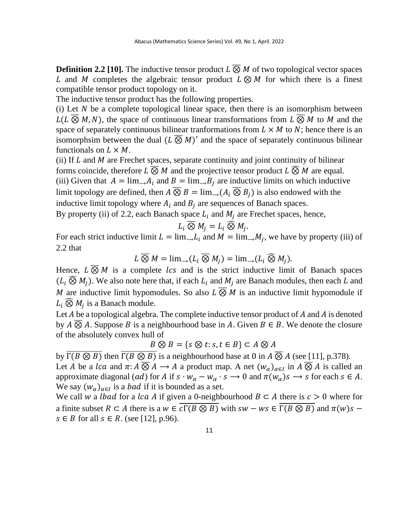**Definition 2.2 [10].** The inductive tensor product  $L \overline{\otimes} M$  of two topological vector spaces L and M completes the algebraic tensor product  $L \otimes M$  for which there is a finest compatible tensor product topology on it.

The inductive tensor product has the following properties.

 $(i)$  Let  $N$  be a complete topological linear space, then there is an isomorphism between  $L(L \overline{\otimes} M, N)$ , the space of continuous linear transformations from  $L \overline{\otimes} M$  to M and the space of separately continuous bilinear tranformations from  $L \times M$  to N; hence there is an isomorphsim between the dual  $(L \overline{\otimes} M)'$  and the space of separately continuous bilinear functionals on  $L \times M$ .

(ii) If  $L$  and  $M$  are Frechet spaces, separate continuity and joint continuity of bilinear forms coincide, therefore  $L \overline{\otimes} M$  and the projective tensor product  $L \widehat{\otimes} M$  are equal. (iii) Given that  $A = \lim_{h \to \infty} A_i$  and  $B = \lim_{h \to \infty} B_i$  are inductive limits on which inductive limit topology are defined, then  $A \overline{\otimes} B = \lim_{n \to \infty} (A_i \overline{\otimes} B_i)$  is also endowed with the inductive limit topology where  $A_i$  and  $B_i$  are sequences of Banach spaces.

By property (ii) of 2.2, each Banach space  $L_i$  and  $M_i$  are Frechet spaces, hence,

$$
L_i \overline{\otimes} M_j = L_i \widehat{\otimes} M_j.
$$

For each strict inductive limit  $L = \lim_{n \to \infty} L_i$  and  $M = \lim_{n \to \infty} M_j$ , we have by property (iii) of 2.2 that

 $L \overline{\otimes} M = \lim_{i \to \infty} (L_i \overline{\otimes} M_i) = \lim_{i \to \infty} (L_i \widehat{\otimes} M_i).$ 

Hence,  $L \overline{\otimes} M$  is a complete *lcs* and is the strict inductive limit of Banach spaces  $(L_i \widehat{\otimes} M_i)$ . We also note here that, if each  $L_i$  and  $M_i$  are Banach modules, then each L and M are inductive limit hypomodules. So also  $L \overline{\otimes} M$  is an inductive limit hypomodule if  $L_i \widehat{\otimes} M_j$  is a Banach module.

Let  $A$  be a topological algebra. The complete inductive tensor product of  $A$  and  $A$  is denoted by  $A \overline{\otimes} A$ . Suppose B is a neighbourhood base in A. Given  $B \in B$ . We denote the closure of the absolutely convex hull of

$$
B \otimes B = \{ s \otimes t : s, t \in B \} \subset A \otimes A
$$

by  $\overline{\Gamma(B \otimes B)}$  then  $\overline{\Gamma(B \otimes B)}$  is a neighbourhood base at 0 in  $A \otimes A$  (see [11], p.378). Let *A* be a *lca* and  $\pi$ :  $A \overline{\otimes} A \rightarrow A$  a product map. A net  $(w_\alpha)_{\alpha \in I}$  in  $A \overline{\otimes} A$  is called an approximate diagonal (*ad*) for *A* if  $s \cdot w_\alpha - w_\alpha \cdot s \rightarrow 0$  and  $\pi(w_\alpha)s \rightarrow s$  for each  $s \in A$ . We say  $(w_\alpha)_{\alpha \in I}$  is a *bad* if it is bounded as a set.

We call w a *lbad* for a *lca* A if given a 0-neighbourhood  $B \subset A$  there is  $c > 0$  where for a finite subset  $R \subset A$  there is a  $w \in \overline{c \Gamma(B \otimes B)}$  with  $sw - ws \in \overline{\Gamma(B \otimes B)}$  and  $\pi(w)s$  $s \in B$  for all  $s \in R$ . (see [12], p.96).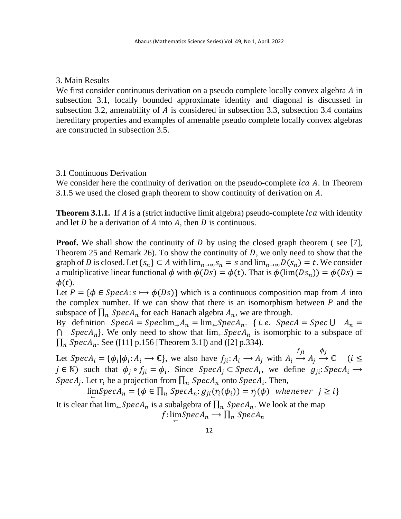## 3. Main Results

We first consider continuous derivation on a pseudo complete locally convex algebra  $\vec{A}$  in subsection 3.1, locally bounded approximate identity and diagonal is discussed in subsection 3.2, amenability of  $A$  is considered in subsection 3.3, subsection 3.4 contains hereditary properties and examples of amenable pseudo complete locally convex algebras are constructed in subsection 3.5.

## 3.1 Continuous Derivation

We consider here the continuity of derivation on the pseudo-complete  $lca$  A. In Theorem 3.1.5 we used the closed graph theorem to show continuity of derivation on  $A$ .

**Theorem 3.1.1.** If A is a (strict inductive limit algebra) pseudo-complete *lca* with identity and let  $D$  be a derivation of  $A$  into  $A$ , then  $D$  is continuous.

**Proof.** We shall show the continuity of D by using the closed graph theorem (see [7], Theorem 25 and Remark 26). To show the continuity of  $D$ , we only need to show that the graph of D is closed. Let  $\{s_n\} \subset A$  with  $\lim_{n\to\infty} s_n = s$  and  $\lim_{n\to\infty} D(s_n) = t$ . We consider a multiplicative linear functional  $\phi$  with  $\phi(Ds) = \phi(t)$ . That is  $\phi(\lim(Ds_n)) = \phi(Ds)$  $\phi(t)$ .

Let  $P = \{\phi \in SpecA : s \mapsto \phi(Ds)\}\$  which is a continuous composition map from A into the complex number. If we can show that there is an isomorphism between  $P$  and the subspace of  $\prod_n$  *SpecA*<sub>n</sub> for each Banach algebra  $A_n$ , we are through.

By definition  $Spec A = Spec \lim_{n \to \infty} A_n = \lim_{n \to \infty} Spec A_n$ . { *i.e.*  $Spec A = Spec \cup A_n =$ ∩ *SpecA<sub>n</sub>*}. We only need to show that  $\lim_{\leftarrow} SpecA_n$  is isomorphic to a subspace of  $\prod_{n} \text{Spec} A_n$ . See ([11] p.156 [Theorem 3.1]) and ([2] p.334).

Let  $Spec A_i = {\phi_i | \phi_i : A_i \longrightarrow \mathbb{C}}$ , we also have  $f_{ji} : A_i \longrightarrow A_j$  with  $A_i \longrightarrow$ f ji  $A_j \rightarrow$  $\phi_j$  $C$  (i  $\leq$  $j \in \mathbb{N}$ ) such that  $\phi_j \circ f_{ji} = \phi_i$ . Since  $Spec A_j \subset Spec A_i$ , we define  $g_{ji}$ : Spec $A_i \rightarrow$ *SpecA<sub>j</sub>*. Let  $r_i$  be a projection from  $\prod_n$  *SpecA*<sub>n</sub> onto *SpecA*<sub>i</sub>. Then,

 $\lim_{\leftarrow} Spec A_n = \{ \phi \in \prod_n Spec A_n : g_{ji}(r_i(\phi_i)) = r_j(\phi) \text{ whenever } j \geq i \}$ 

It is clear that  $\lim_{\leftarrow} SpecA_n$  is a subalgebra of  $\prod_n SpecA_n$ . We look at the map  $f: \lim_{\leftarrow} \text{Spec} A_n \longrightarrow \prod_n \text{Spec} A_n$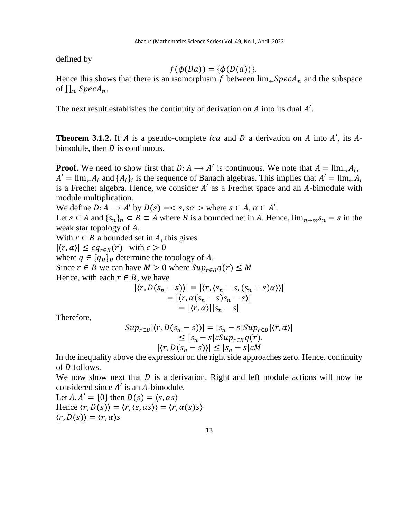defined by

$$
f(\phi(Da)) = \{\phi(D(a))\}.
$$

Hence this shows that there is an isomorphism f between  $\lim_{\leftarrow} SpecA_n$  and the subspace of  $\prod_n$  SpecA<sub>n</sub>.

The next result establishes the continuity of derivation on  $\vec{A}$  into its dual  $\vec{A}'$ .

**Theorem 3.1.2.** If A is a pseudo-complete  $lca$  and D a derivation on A into A', its Abimodule, then  $D$  is continuous.

**Proof.** We need to show first that  $D: A \to A'$  is continuous. We note that  $A = \lim_{n \to \infty} A_i$ ,  $A' = \lim_{\leftarrow} A_i$  and  $\{A_i\}_i$  is the sequence of Banach algebras. This implies that  $A' = \lim_{\leftarrow} A_i$ is a Frechet algebra. Hence, we consider  $A'$  as a Frechet space and an  $A$ -bimodule with module multiplication.

We define  $D: A \longrightarrow A'$  by  $D(s) = \langle s, s \alpha \rangle$  where  $s \in A, \alpha \in A'$ .

Let  $s \in A$  and  $\{s_n\}_n \subset B \subset A$  where B is a bounded net in A. Hence,  $\lim_{n\to\infty} s_n = s$  in the weak star topology of  $A$ .

With  $r \in B$  a bounded set in A, this gives

 $|\langle r, \alpha \rangle| \leq c q_{r \in B}(r)$  with  $c > 0$ 

where  $q \in \{q_B\}_B$  determine the topology of A.

Since  $r \in B$  we can have  $M > 0$  where  $Sup_{r \in B} q(r) \leq M$ 

Hence, with each  $r \in B$ , we have

$$
|\langle r, D(s_n - s) \rangle| = |\langle r, \langle s_n - s, (s_n - s) \alpha \rangle \rangle|
$$
  
=  $|\langle r, \alpha(s_n - s) s_n - s \rangle|$   
=  $|\langle r, \alpha \rangle| |s_n - s|$ 

Therefore,

$$
Sup_{r\in B}|\langle r, D(s_n - s) \rangle| = |s_n - s|Sup_{r\in B}|\langle r, \alpha \rangle|
$$
  
\n
$$
\leq |s_n - s|cSup_{r\in B}q(r).
$$
  
\n
$$
|\langle r, D(s_n - s) \rangle| \leq |s_n - s|cM
$$

In the inequality above the expression on the right side approaches zero. Hence, continuity of *D* follows.

We now show next that  $D$  is a derivation. Right and left module actions will now be considered since  $A'$  is an A-bimodule.

Let  $A \cdot A' = \{0\}$  then  $D(s) = \langle s, \alpha s \rangle$ Hence  $\langle r,D(s)\rangle = \langle r,\langle s,\alpha s\rangle\rangle = \langle r,\alpha(s)s\rangle$  $\langle r,D(s)\rangle = \langle r,\alpha\rangle s$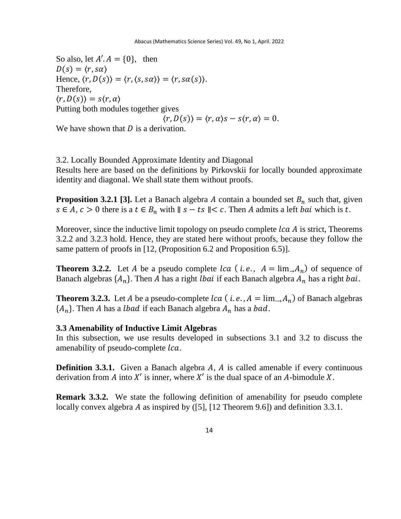So also, let  $A'$ .  $A = \{0\}$ , then  $D(s) = \langle r, s\alpha \rangle$ Hence,  $\langle r,D(s)\rangle = \langle r,\langle s,s\alpha\rangle\rangle = \langle r,s\alpha(s)\rangle$ . Therefore,  $\langle r,D(s)\rangle = s\langle r,\alpha\rangle$ Putting both modules together gives  $\langle r,D(s)\rangle = \langle r,\alpha\rangle s - s\langle r,\alpha\rangle = 0.$ 

We have shown that  $D$  is a derivation.

3.2. Locally Bounded Approximate Identity and Diagonal Results here are based on the definitions by Pirkovskii for locally bounded approximate identity and diagonal. We shall state them without proofs.

**Proposition 3.2.1 [3].** Let a Banach algebra A contain a bounded set  $B_n$  such that, given  $s \in A$ ,  $c > 0$  there is a  $t \in B_n$  with  $||s - ts|| < c$ . Then A admits a left *bai* which is t.

Moreover, since the inductive limit topology on pseudo complete  $lca$   $\hat{A}$  is strict, Theorems 3.2.2 and 3.2.3 hold. Hence, they are stated here without proofs, because they follow the same pattern of proofs in [12, (Proposition 6.2 and Proposition 6.5)].

**Theorem 3.2.2.** Let A be a pseudo complete  $lca$  (*i.e.*,  $A = \lim_{n \to \infty} A_n$ ) of sequence of Banach algebras  $\{A_n\}$ . Then A has a right *lbai* if each Banach algebra  $A_n$  has a right *bai*.

**Theorem 3.2.3.** Let *A* be a pseudo-complete  $lca$  ( $i.e., A = \lim_{n \to \infty} A_n$ ) of Banach algebras  ${A_n}$ . Then A has a *lbad* if each Banach algebra  $A_n$  has a *bad*.

## **3.3 Amenability of Inductive Limit Algebras**

In this subsection, we use results developed in subsections 3.1 and 3.2 to discuss the amenability of pseudo-complete *lca*.

**Definition 3.3.1.** Given a Banach algebra A, A is called amenable if every continuous derivation from A into  $X'$  is inner, where  $X'$  is the dual space of an A-bimodule X.

**Remark 3.3.2.** We state the following definition of amenability for pseudo complete locally convex algebra A as inspired by  $([5]$ ,  $[12$  Theorem 9.6]) and definition 3.3.1.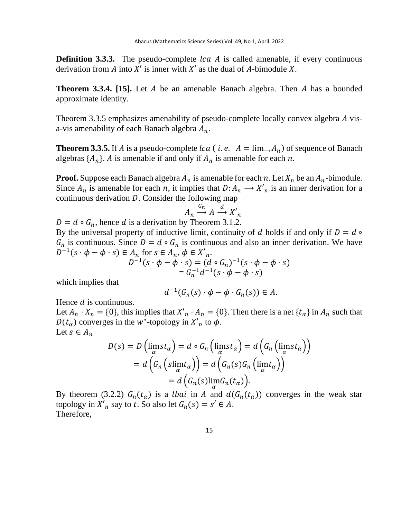**Definition 3.3.3.** The pseudo-complete *lca A* is called amenable, if every continuous derivation from A into  $X'$  is inner with  $X'$  as the dual of A-bimodule X.

**Theorem 3.3.4.** [15]. Let A be an amenable Banach algebra. Then A has a bounded approximate identity.

Theorem 3.3.5 emphasizes amenability of pseudo-complete locally convex algebra A visa-vis amenability of each Banach algebra  $A_n$ .

**Theorem 3.3.5.** If A is a pseudo-complete  $lca$  (*i.e.*  $A = \lim_{n \to \infty} A_n$ ) of sequence of Banach algebras  $\{A_n\}$ . A is amenable if and only if  $A_n$  is amenable for each n.

**Proof.** Suppose each Banach algebra  $A_n$  is amenable for each n. Let  $X_n$  be an  $A_n$ -bimodule. Since  $A_n$  is amenable for each *n*, it implies that  $D: A_n \longrightarrow X'_n$  is an inner derivation for a continuous derivation  $D$ . Consider the following map

$$
A_n \xrightarrow{G_n} A \xrightarrow{d} X'_n
$$

 $D = d \circ G_n$ , hence d is a derivation by Theorem 3.1.2.

By the universal property of inductive limit, continuity of d holds if and only if  $D = d$  $G_n$  is continuous. Since  $D = d \circ G_n$  is continuous and also an inner derivation. We have  $D^{-1}(s \cdot \phi - \phi \cdot s) \in A_n$  for  $s \in A_n$ ,  $\phi \in X'_n$ .

$$
D^{-1}(s \cdot \phi - \phi \cdot s) = (d \circ G_n)^{-1}(s \cdot \phi - \phi \cdot s)
$$
  
=  $G_n^{-1}d^{-1}(s \cdot \phi - \phi \cdot s)$ 

which implies that

$$
d^{-1}(G_n(s) \cdot \phi - \phi \cdot G_n(s)) \in A.
$$

Hence  $d$  is continuous.

Let  $A_n \cdot X_n = \{0\}$ , this implies that  $X'_n \cdot A_n = \{0\}$ . Then there is a net  $\{t_\alpha\}$  in  $A_n$  such that  $D(t_\alpha)$  converges in the w<sup>\*</sup>-topology in  $X'_n$  to  $\phi$ . Let  $s \in A_n$ 

$$
D(s) = D\left(\lim_{\alpha} st_{\alpha}\right) = d \circ G_{n}\left(\lim_{\alpha} st_{\alpha}\right) = d\left(G_{n}\left(\lim_{\alpha} st_{\alpha}\right)\right)
$$

$$
= d\left(G_{n}\left(\text{slim}t_{\alpha}\right)\right) = d\left(G_{n}(s)G_{n}\left(\lim_{\alpha} t_{\alpha}\right)\right)
$$

$$
= d\left(G_{n}(s)\lim_{\alpha} G_{n}(t_{\alpha})\right).
$$

By theorem (3.2.2)  $G_n(t_\alpha)$  is a *lbai* in A and  $d(G_n(t_\alpha))$  converges in the weak star topology in  $X'_n$  say to t. So also let  $G_n(s) = s' \in A$ . Therefore,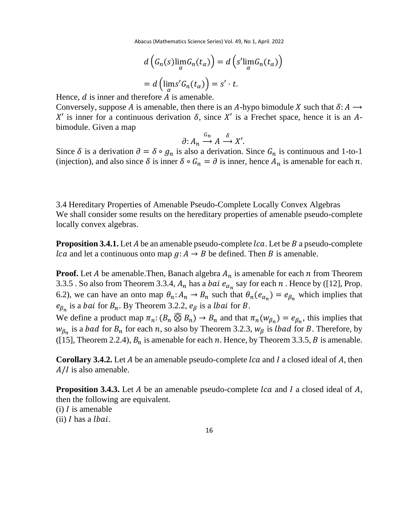Abacus (Mathematics Science Series) Vol. 49, No 1, April. 2022

$$
d\left(G_n(s)\lim_{\alpha} G_n(t_{\alpha})\right) = d\left(s'\lim_{\alpha} G_n(t_{\alpha})\right)
$$

$$
= d\left(\lim_{\alpha} s' G_n(t_{\alpha})\right) = s' \cdot t.
$$

Hence,  $d$  is inner and therefore  $A$  is amenable.

Conversely, suppose A is amenable, then there is an A-hypo bimodule X such that  $\delta: A \rightarrow$  $X'$  is inner for a continuous derivation  $\delta$ , since  $X'$  is a Frechet space, hence it is an Abimodule. Given a map

$$
\partial: A_n \xrightarrow{G_n} A \xrightarrow{\delta} X'.
$$

Since  $\delta$  is a derivation  $\partial = \delta \circ g_n$  is also a derivation. Since  $G_n$  is continuous and 1-to-1 (injection), and also since  $\delta$  is inner  $\delta \circ G_n = \partial$  is inner, hence  $A_n$  is amenable for each n.

3.4 Hereditary Properties of Amenable Pseudo-Complete Locally Convex Algebras We shall consider some results on the hereditary properties of amenable pseudo-complete locally convex algebras.

**Proposition 3.4.1.** Let A be an amenable pseudo-complete *lca*. Let be B a pseudo-complete *lca* and let a continuous onto map  $g: A \rightarrow B$  be defined. Then B is amenable.

**Proof.** Let A be amenable. Then, Banach algebra  $A_n$  is amenable for each  $n$  from Theorem 3.3.5 . So also from Theorem 3.3.4,  $A_n$  has a *bai*  $e_{\alpha_n}$  say for each  $n$  . Hence by ([12], Prop. 6.2), we can have an onto map  $\theta_n: A_n \to B_n$  such that  $\theta_n(e_{\alpha_n}) = e_{\beta_n}$  which implies that  $e_{\beta_n}$  is a *bai* for  $B_n$ . By Theorem 3.2.2,  $e_{\beta}$  is a *lbai* for *B*.

We define a product map  $\pi_n$ :  $(B_n \widehat{\otimes} B_n) \to B_n$  and that  $\pi_n(w_{\beta_n}) = e_{\beta_n}$ , this implies that  $w_{\beta_n}$  is a *bad* for  $B_n$  for each *n*, so also by Theorem 3.2.3,  $w_{\beta}$  is *lbad* for *B*. Therefore, by ([15], Theorem 2.2.4),  $B_n$  is amenable for each n. Hence, by Theorem 3.3.5, B is amenable.

**Corollary 3.4.2.** Let A be an amenable pseudo-complete *lca* and *I* a closed ideal of A, then  $A/I$  is also amenable.

**Proposition 3.4.3.** Let A be an amenable pseudo-complete *lca* and I a closed ideal of A, then the following are equivalent.

 $(i)$  *l* is amenable

 $(ii)$  I has a *lbai*.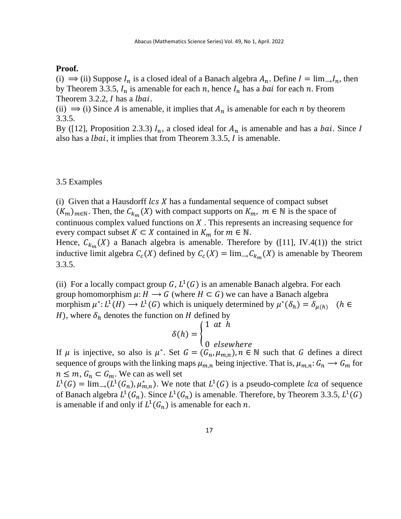#### **Proof.**

(i)  $\Rightarrow$  (ii) Suppose  $I_n$  is a closed ideal of a Banach algebra  $A_n$ . Define  $I = \lim_{n \to \infty} I_n$ , then by Theorem 3.3.5,  $I_n$  is amenable for each n, hence  $I_n$  has a *bai* for each n. From Theorem 3.2.2,  $I$  has a *lbai*.

(ii)  $\Rightarrow$  (i) Since A is amenable, it implies that  $A_n$  is amenable for each n by theorem 3.3.5.

By ([12], Proposition 2.3.3)  $I_n$ , a closed ideal for  $A_n$  is amenable and has a *bai*. Since I also has a *lbai*, it implies that from Theorem 3.3.5,  *is amenable.* 

#### 3.5 Examples

(i) Given that a Hausdorff  $\text{lcs } X$  has a fundamental sequence of compact subset  $(K_m)_{m \in \mathbb{N}}$ . Then, the  $C_{k_m}(X)$  with compact supports on  $K_m$ ,  $m \in \mathbb{N}$  is the space of continuous complex valued functions on  $X$ . This represents an increasing sequence for every compact subset  $K \subset X$  contained in  $K_m$  for  $m \in \mathbb{N}$ .

Hence,  $C_{k_m}(X)$  a Banach algebra is amenable. Therefore by ([11], IV.4(1)) the strict inductive limit algebra  $C_c(X)$  defined by  $C_c(X) = \lim_{n \to \infty} C_{k_m}(X)$  is amenable by Theorem 3.3.5.

(ii) For a locally compact group G,  $L^1(G)$  is an amenable Banach algebra. For each group homomorphism  $\mu: H \longrightarrow G$  (where  $H \subset G$ ) we can have a Banach algebra morphism  $\mu^*: L^1(H) \to L^1(G)$  which is uniquely determined by  $\mu^*(\delta_h) = \delta_{\mu(h)}$  (h  $\in$ H), where  $\delta_h$  denotes the function on H defined by

$$
\delta(h) = \begin{cases} 1 & \text{at } h \\ 0 & \text{elsewhere} \end{cases}
$$

If  $\mu$  is injective, so also is  $\mu^*$ . Set  $G = (G_n, \mu_{m,n})$ ,  $n \in \mathbb{N}$  such that G defines a direct sequence of groups with the linking maps  $\mu_{m,n}$  being injective. That is,  $\mu_{m,n}: G_n \to G_m$  for  $n \leq m$ ,  $G_n \subset G_m$ . We can as well set

 $L^1(G) = \lim_{n \to \infty} (L^1(G_n), \mu^*_{m,n})$ . We note that  $L^1(G)$  is a pseudo-complete *lca* of sequence of Banach algebra  $L^1(G_n)$ . Since  $L^1(G_n)$  is amenable. Therefore, by Theorem 3.3.5,  $L^1(G)$ is amenable if and only if  $L^1(G_n)$  is amenable for each n.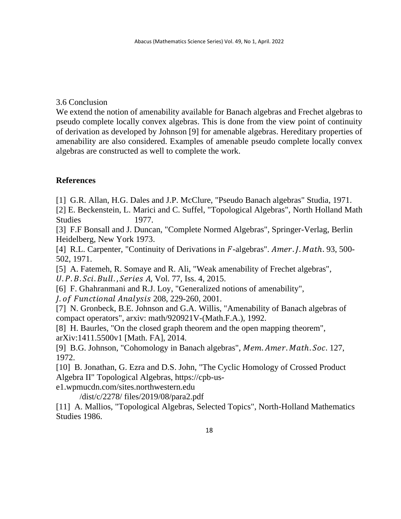## 3.6 Conclusion

We extend the notion of amenability available for Banach algebras and Frechet algebras to pseudo complete locally convex algebras. This is done from the view point of continuity of derivation as developed by Johnson [9] for amenable algebras. Hereditary properties of amenability are also considered. Examples of amenable pseudo complete locally convex algebras are constructed as well to complete the work.

# **References**

[1] G.R. Allan, H.G. Dales and J.P. McClure, "Pseudo Banach algebras" Studia, 1971.

[2] E. Beckenstein, L. Marici and C. Suffel, "Topological Algebras", North Holland Math Studies 1977.

[3] F.F Bonsall and J. Duncan, "Complete Normed Algebras", Springer-Verlag, Berlin Heidelberg, New York 1973.

[4] R.L. Carpenter, "Continuity of Derivations in  $F$ -algebras". Amer. J. Math. 93, 500-502, 1971.

[5] A. Fatemeh, R. Somaye and R. Ali, "Weak amenability of Frechet algebras", U.P.B. Sci. Bull., Series A, Vol. 77, Iss. 4, 2015.

[6] F. Ghahranmani and R.J. Loy, "Generalized notions of amenability",

J. of Functional Analysis 208, 229-260, 2001.

[7] N. Gronbeck, B.E. Johnson and G.A. Willis, "Amenability of Banach algebras of compact operators", arxiv: math/920921V-(Math.F.A.), 1992.

[8] H. Baurles, "On the closed graph theorem and the open mapping theorem", arXiv:1411.5500v1 [Math. FA], 2014.

[9] B.G. Johnson, "Cohomology in Banach algebras", Mem. Amer. Math. Soc. 127, 1972.

[10] B. Jonathan, G. Ezra and D.S. John, "The Cyclic Homology of Crossed Product Algebra II" Topological Algebras, https://cpb-us-

e1.wpmucdn.com/sites.northwestern.edu

/dist/c/2278/ files/2019/08/para2.pdf

[11] A. Mallios, "Topological Algebras, Selected Topics", North-Holland Mathematics Studies 1986.